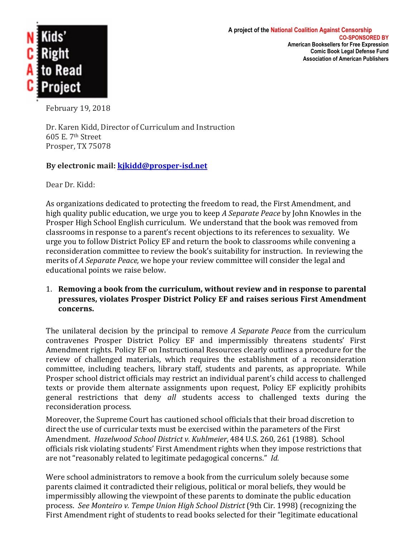

February 19, 2018

Dr. Karen Kidd, Director of Curriculum and Instruction 605 E. 7th Street Prosper, TX 75078

## By electronic mail: **kjkidd@prosper-isd.net**

Dear Dr. Kidd:

As organizations dedicated to protecting the freedom to read, the First Amendment, and high quality public education, we urge you to keep A Separate Peace by John Knowles in the Prosper High School English curriculum. We understand that the book was removed from classrooms in response to a parent's recent objections to its references to sexuality. We urge you to follow District Policy EF and return the book to classrooms while convening a reconsideration committee to review the book's suitability for instruction. In reviewing the merits of *A Separate Peace*, we hope your review committee will consider the legal and educational points we raise below.

1. Removing a book from the curriculum, without review and in response to parental pressures, violates Prosper District Policy EF and raises serious First Amendment **concerns.**

The unilateral decision by the principal to remove *A Separate Peace* from the curriculum contravenes Prosper District Policy EF and impermissibly threatens students' First Amendment rights. Policy EF on Instructional Resources clearly outlines a procedure for the review of challenged materials, which requires the establishment of a reconsideration committee, including teachers, library staff, students and parents, as appropriate. While Prosper school district officials may restrict an individual parent's child access to challenged texts or provide them alternate assignments upon request, Policy EF explicitly prohibits general restrictions that deny all students access to challenged texts during the reconsideration process.

Moreover, the Supreme Court has cautioned school officials that their broad discretion to direct the use of curricular texts must be exercised within the parameters of the First Amendment. *Hazelwood School District v. Kuhlmeier*, 484 U.S. 260, 261 (1988). School officials risk violating students' First Amendment rights when they impose restrictions that are not "reasonably related to legitimate pedagogical concerns." *Id.* 

Were school administrators to remove a book from the curriculum solely because some parents claimed it contradicted their religious, political or moral beliefs, they would be impermissibly allowing the viewpoint of these parents to dominate the public education process. See Monteiro v. Tempe Union High School District (9th Cir. 1998) (recognizing the First Amendment right of students to read books selected for their "legitimate educational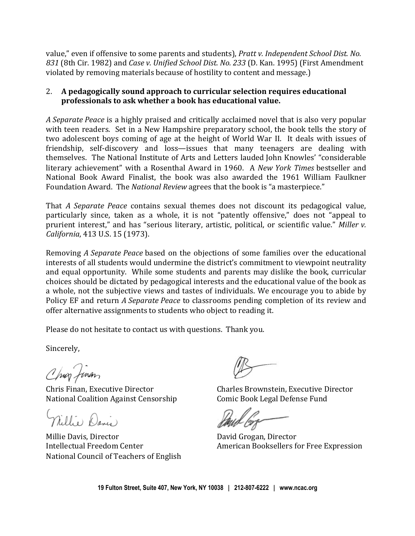value," even if offensive to some parents and students), *Pratt v. Independent School Dist. No.* 831 (8th Cir. 1982) and *Case v. Unified School Dist. No. 233* (D. Kan. 1995) (First Amendment violated by removing materials because of hostility to content and message.)

## 2. A pedagogically sound approach to curricular selection requires educational **professionals to ask whether a book has educational value.**

*A* Separate Peace is a highly praised and critically acclaimed novel that is also very popular with teen readers. Set in a New Hampshire preparatory school, the book tells the story of two adolescent boys coming of age at the height of World War II. It deals with issues of friendship, self-discovery and loss—issues that many teenagers are dealing with themselves. The National Institute of Arts and Letters lauded John Knowles' "considerable literary achievement" with a Rosenthal Award in 1960. A *New York Times* bestseller and National Book Award Finalist, the book was also awarded the 1961 William Faulkner Foundation Award. The *National Review* agrees that the book is "a masterpiece."

That *A* Separate Peace contains sexual themes does not discount its pedagogical value, particularly since, taken as a whole, it is not "patently offensive," does not "appeal to prurient interest," and has "serious literary, artistic, political, or scientific value." Miller v. *California*, 413 U.S. 15 (1973).

Removing *A Separate Peace* based on the objections of some families over the educational interests of all students would undermine the district's commitment to viewpoint neutrality and equal opportunity. While some students and parents may dislike the book, curricular choices should be dictated by pedagogical interests and the educational value of the book as a whole, not the subjective views and tastes of individuals. We encourage you to abide by Policy EF and return *A Separate Peace* to classrooms pending completion of its review and offer alternative assignments to students who object to reading it.

Please do not hesitate to contact us with questions. Thank you.

Sincerely,

Chur Jinan

National Coalition Against Censorship Comic Book Legal Defense Fund

Millie Danis

Millie Davis, Director **National Equation** David Grogan, Director National Council of Teachers of English

Chris Finan, Executive Director **Charles Brownstein, Executive Director** 

Intellectual Freedom Center **American** Booksellers for Free Expression